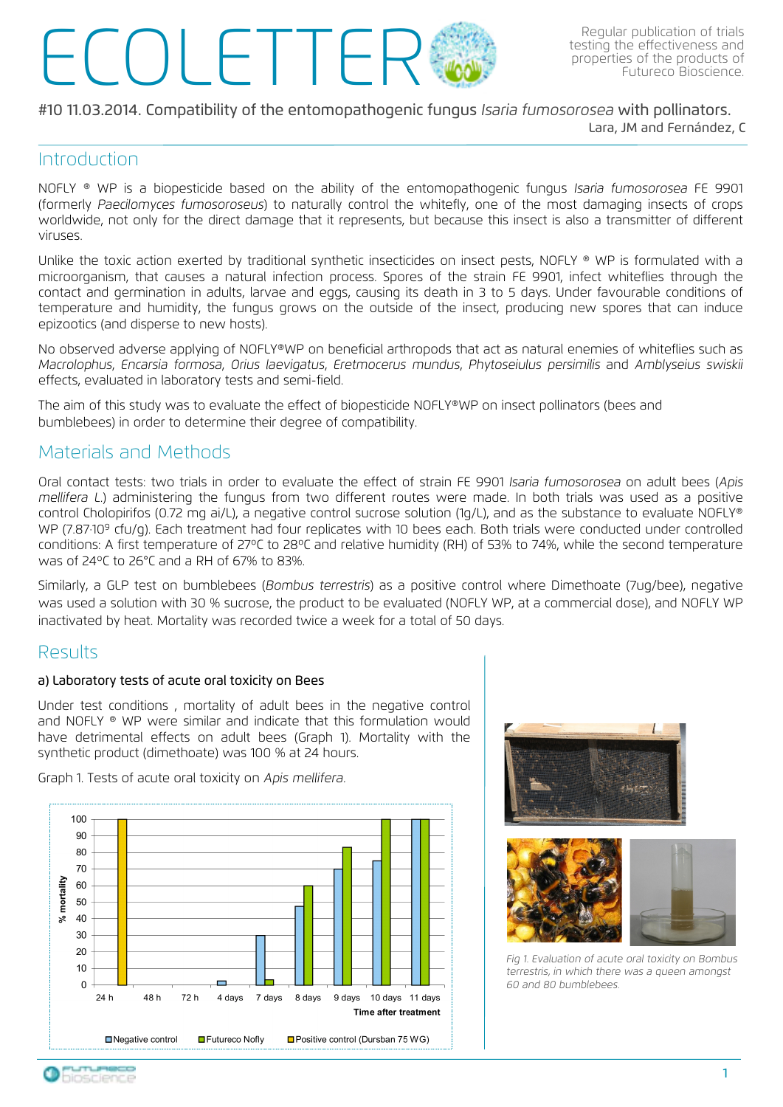# Regular publication of trials<br>testing the effectiveness and<br>properties of the products of<br>Futureco Bioscience.

#### #10 11.03.2014. Compatibility of the entomopathogenic fungus Isaria fumosorosea with pollinators.

Lara, JM and Fernández, C

### **Introduction**

NOFLY ® WP is a biopesticide based on the ability of the entomopathogenic fungus Isaria fumosorosea FE 9901 (formerly Paecilomyces fumosoroseus) to naturally control the whitefly, one of the most damaging insects of crops worldwide, not only for the direct damage that it represents, but because this insect is also a transmitter of different viruses.

Unlike the toxic action exerted by traditional synthetic insecticides on insect pests, NOFLY ® WP is formulated with a microorganism, that causes a natural infection process. Spores of the strain FE 9901, infect whiteflies through the contact and germination in adults, larvae and eggs, causing its death in 3 to 5 days. Under favourable conditions of temperature and humidity, the fungus grows on the outside of the insect, producing new spores that can induce epizootics (and disperse to new hosts).

No observed adverse applying of NOFLY®WP on beneficial arthropods that act as natural enemies of whiteflies such as Macrolophus, Encarsia formosa, Orius laevigatus, Eretmocerus mundus, Phytoseiulus persimilis and Amblyseius swiskii effects, evaluated in laboratory tests and semi-field.

The aim of this study was to evaluate the effect of biopesticide NOFLY®WP on insect pollinators (bees and bumblebees) in order to determine their degree of compatibility.

## Materials and Methods

Oral contact tests: two trials in order to evaluate the effect of strain FE 9901 Isaria fumosorosea on adult bees (Apis mellifera L.) administering the fungus from two different routes were made. In both trials was used as a positive control Cholopirifos (0.72 mg ai/L), a negative control sucrose solution (1g/L), and as the substance to evaluate NOFLY® WP (7.87.109 cfu/g). Each treatment had four replicates with 10 bees each. Both trials were conducted under controlled conditions: A first temperature of 27ºC to 28ºC and relative humidity (RH) of 53% to 74%, while the second temperature was of 24ºC to 26°C and a RH of 67% to 83%.

Similarly, a GLP test on bumblebees (Bombus terrestris) as a positive control where Dimethoate (7ug/bee), negative was used a solution with 30 % sucrose, the product to be evaluated (NOFLY WP, at a commercial dose), and NOFLY WP inactivated by heat. Mortality was recorded twice a week for a total of 50 days.

### Results

#### a) Laboratory tests of acute oral toxicity on Bees

Under test conditions , mortality of adult bees in the negative control and NOFLY ® WP were similar and indicate that this formulation would have detrimental effects on adult bees (Graph 1). Mortality with the synthetic product (dimethoate) was 100 % at 24 hours.

Graph 1. Tests of acute oral toxicity on Apis mellifera.







*Fig 1. Evaluation of acute oral toxicity on Bombus terrestris, in which there was a queen amongst 60 and 80 bumblebees.*